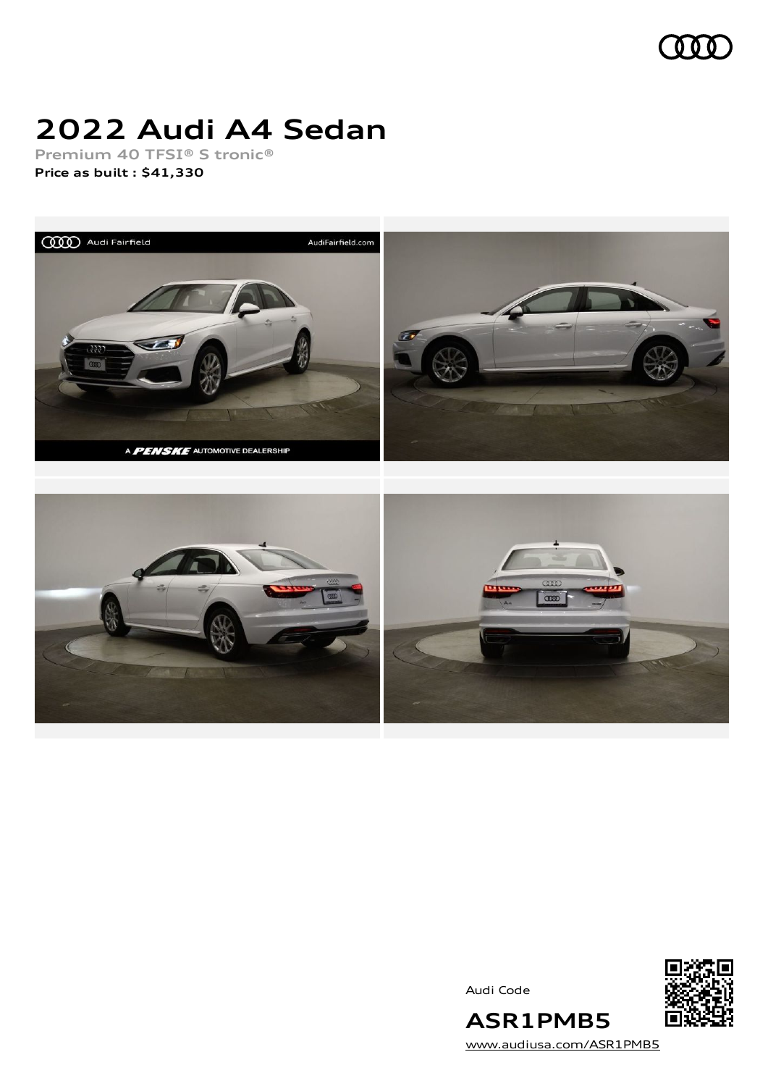

# **2022 Audi A4 Sedan**

**Premium 40 TFSI® S tronic® Price as built [:](#page-9-0) \$41,330**



Audi Code



[www.audiusa.com/ASR1PMB5](https://www.audiusa.com/ASR1PMB5)

**ASR1PMB5**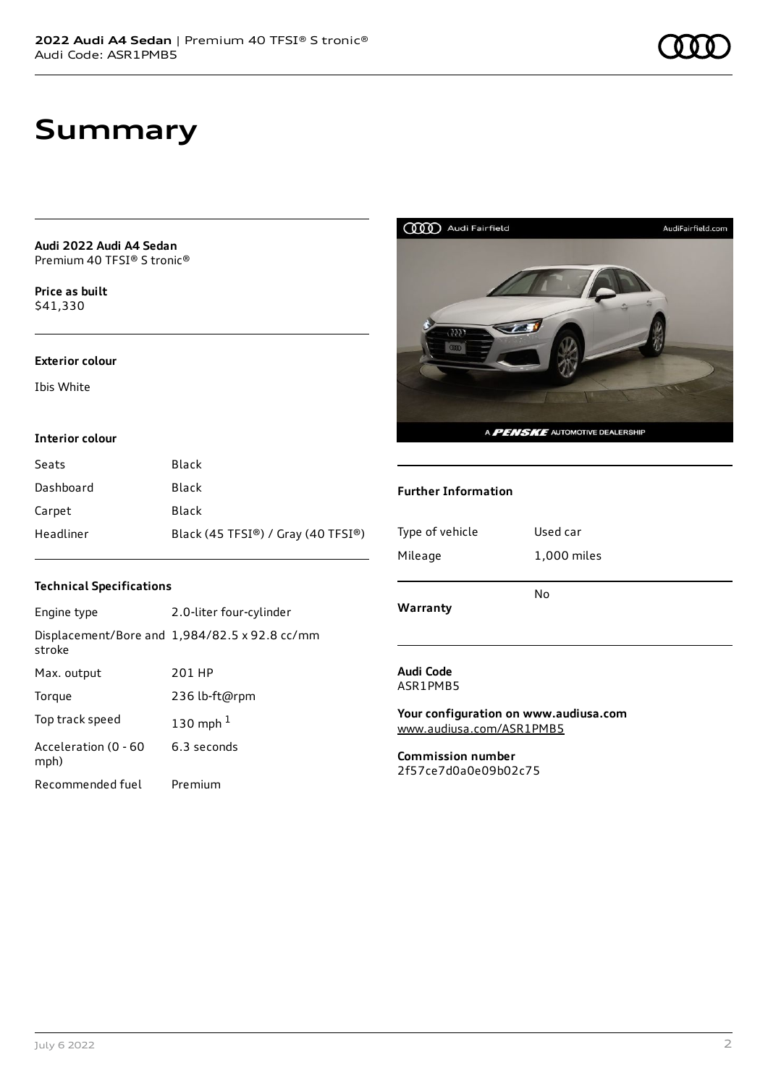# **Summary**

#### **Audi 2022 Audi A4 Sedan** Premium 40 TFSI® S tronic®

**Price as buil[t](#page-9-0)** \$41,330

#### **Exterior colour**

Ibis White

#### **Interior colour**

| Seats     | Black                              |
|-----------|------------------------------------|
| Dashboard | Black                              |
| Carpet    | Black                              |
| Headliner | Black (45 TFSI®) / Gray (40 TFSI®) |

### **Technical Specifications**

| Engine type                  | 2.0-liter four-cylinder                              |
|------------------------------|------------------------------------------------------|
| stroke                       | Displacement/Bore and $1,984/82.5 \times 92.8$ cc/mm |
| Max. output                  | 201 HP                                               |
| Torque                       | 236 lb-ft@rpm                                        |
| Top track speed              | 130 mph $1$                                          |
| Acceleration (0 - 60<br>mph) | 6.3 seconds                                          |
| Recommended fuel             | Premium                                              |



### **Further Information**

| Type of vehicle<br>Mileage | Used car<br>1,000 miles |
|----------------------------|-------------------------|
| Warranty                   | No                      |
| Audi Code                  |                         |

ASR1PMB5

**Your configuration on www.audiusa.com** [www.audiusa.com/ASR1PMB5](https://www.audiusa.com/ASR1PMB5)

**Commission number** 2f57ce7d0a0e09b02c75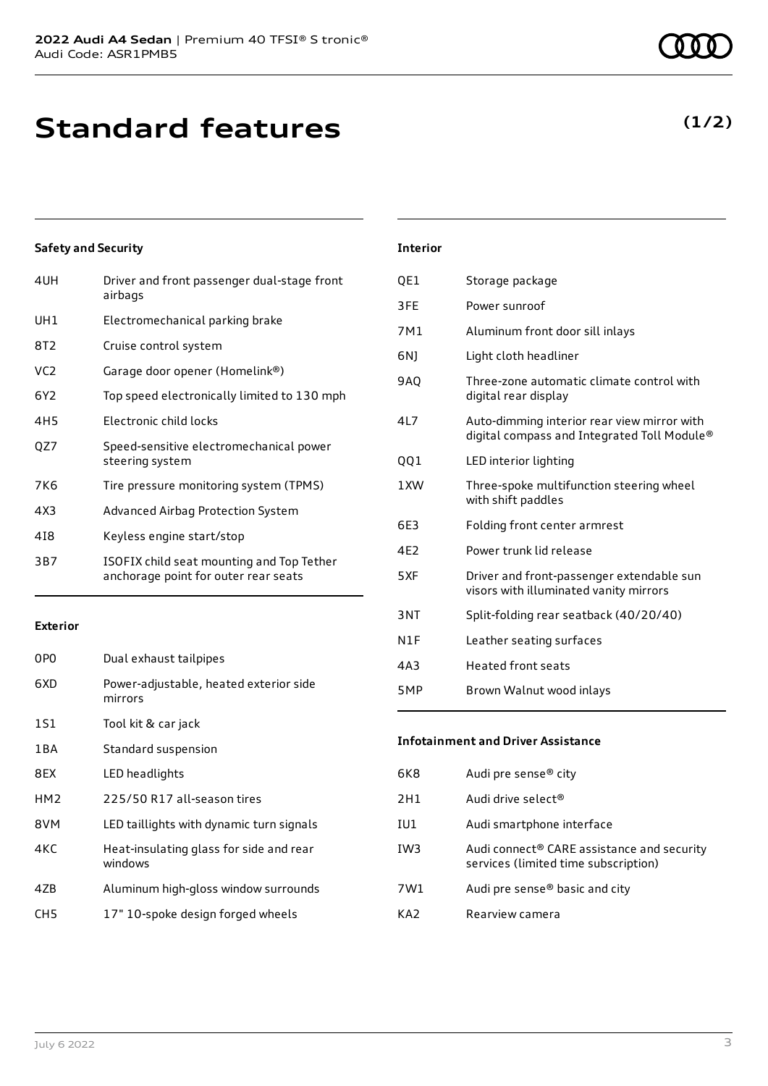# **Standard features**

### **Safety and Security**

| 4UH             | Driver and front passenger dual-stage front<br>airbags                            |
|-----------------|-----------------------------------------------------------------------------------|
| UH1             | Electromechanical parking brake                                                   |
| 8T2             | Cruise control system                                                             |
| VC <sub>2</sub> | Garage door opener (Homelink®)                                                    |
| 6Y2             | Top speed electronically limited to 130 mph                                       |
| 4H5             | Electronic child locks                                                            |
| QZ7             | Speed-sensitive electromechanical power<br>steering system                        |
| 7K6             | Tire pressure monitoring system (TPMS)                                            |
| 4X3             | Advanced Airbag Protection System                                                 |
| 418             | Keyless engine start/stop                                                         |
| 3B7             | ISOFIX child seat mounting and Top Tether<br>anchorage point for outer rear seats |
|                 |                                                                                   |

### **Exterior**

| 0P <sub>0</sub> | Dual exhaust tailpipes                             |
|-----------------|----------------------------------------------------|
| 6XD             | Power-adjustable, heated exterior side<br>mirrors  |
| 1S1             | Tool kit & car jack                                |
| 1 B A           | Standard suspension                                |
| 8EX             | LED headlights                                     |
| HM <sub>2</sub> | 225/50 R17 all-season tires                        |
| 8VM             | LED taillights with dynamic turn signals           |
| 4KC             | Heat-insulating glass for side and rear<br>windows |
| 4ZB             | Aluminum high-gloss window surrounds               |
| CH5             | 17" 10-spoke design forged wheels                  |

## **Interior**

| QE1 | Storage package                                                                            |
|-----|--------------------------------------------------------------------------------------------|
| 3FE | Power sunroof                                                                              |
| 7M1 | Aluminum front door sill inlays                                                            |
| 6N) | Light cloth headliner                                                                      |
| 9A0 | Three-zone automatic climate control with<br>digital rear display                          |
| 4L7 | Auto-dimming interior rear view mirror with<br>digital compass and Integrated Toll Module® |
| QQ1 | LED interior lighting                                                                      |
| 1XW | Three-spoke multifunction steering wheel<br>with shift paddles                             |
| 6E3 | Folding front center armrest                                                               |
| 4F2 | Power trunk lid release                                                                    |
| 5XF | Driver and front-passenger extendable sun<br>visors with illuminated vanity mirrors        |
| 3NT | Split-folding rear seatback (40/20/40)                                                     |
| N1F | Leather seating surfaces                                                                   |
| 4A3 | <b>Heated front seats</b>                                                                  |
| 5MP | Brown Walnut wood inlays                                                                   |
|     |                                                                                            |

### **Infotainment and Driver Assistance**

| 6K8 | Audi pre sense® city                                                                           |
|-----|------------------------------------------------------------------------------------------------|
| 2H1 | Audi drive select <sup>®</sup>                                                                 |
| IU1 | Audi smartphone interface                                                                      |
| IW3 | Audi connect <sup>®</sup> CARE assistance and security<br>services (limited time subscription) |
| 7W1 | Audi pre sense <sup>®</sup> basic and city                                                     |
| KA7 | Rearview camera                                                                                |

## **(1/2)**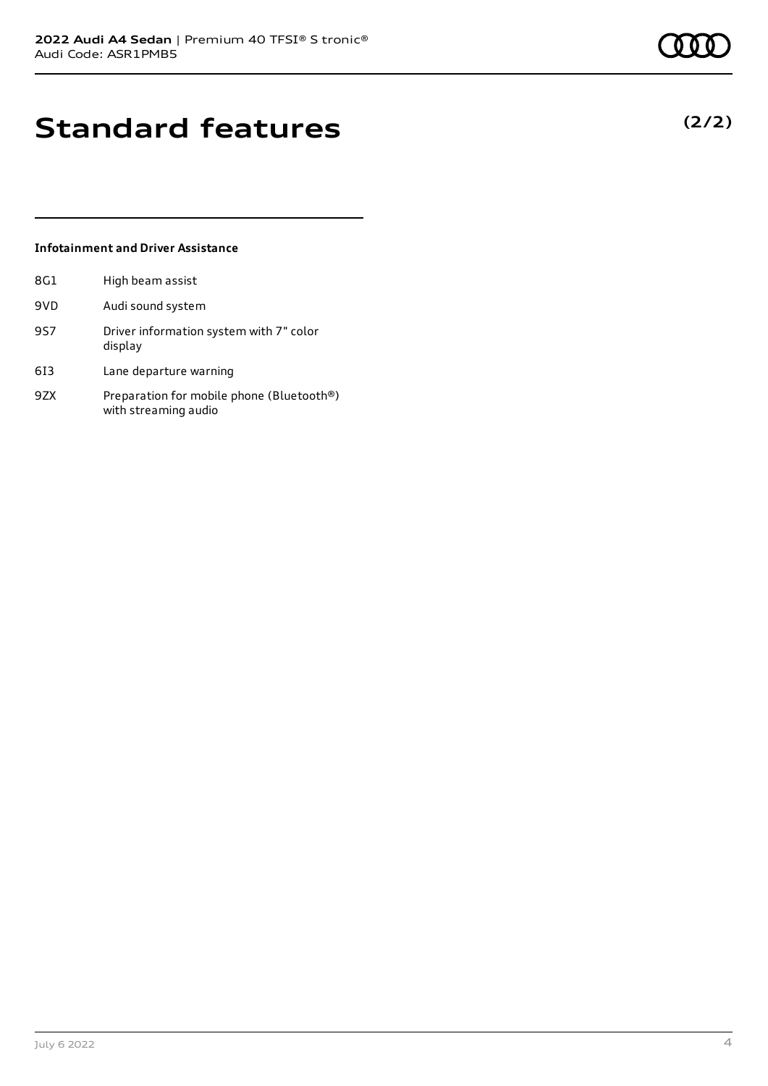**(2/2)**

# **Standard features**

### **Infotainment and Driver Assistance**

| 8G1 | High beam assist                                                  |
|-----|-------------------------------------------------------------------|
| 9VD | Audi sound system                                                 |
| 9S7 | Driver information system with 7" color<br>display                |
| 613 | Lane departure warning                                            |
| 9ZX | Preparation for mobile phone (Bluetooth®)<br>with streaming audio |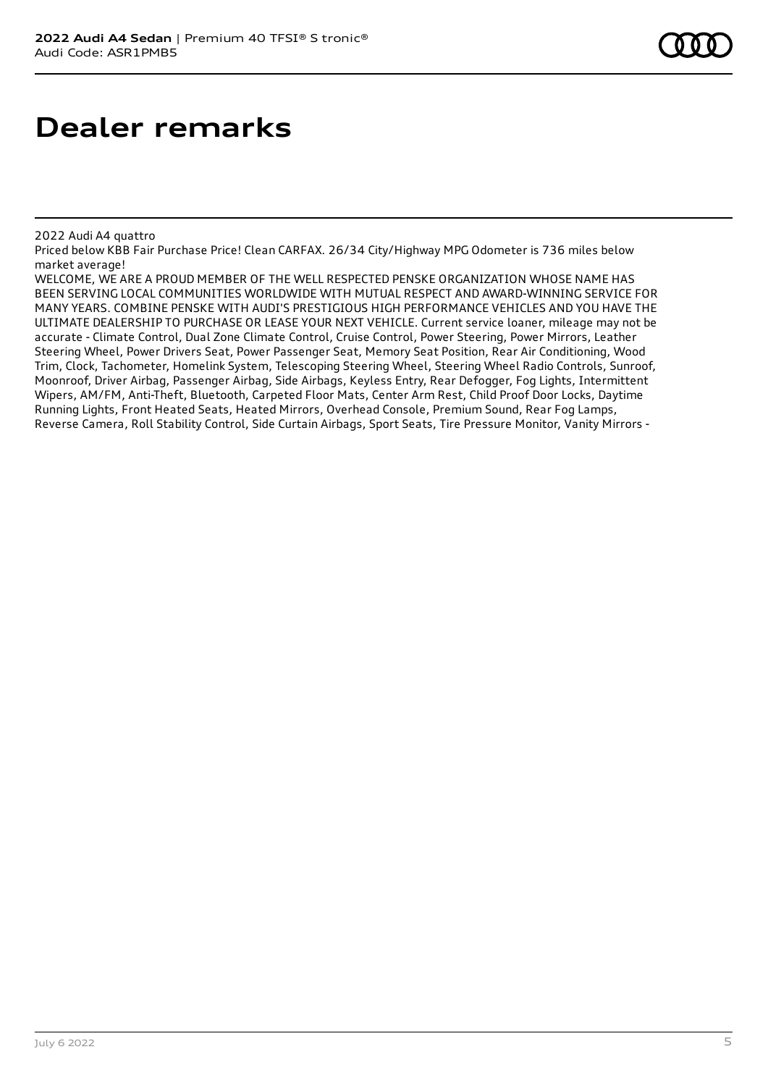### 2022 Audi A4 quattro

Priced below KBB Fair Purchase Price! Clean CARFAX. 26/34 City/Highway MPG Odometer is 736 miles below market average!

WELCOME, WE ARE A PROUD MEMBER OF THE WELL RESPECTED PENSKE ORGANIZATION WHOSE NAME HAS BEEN SERVING LOCAL COMMUNITIES WORLDWIDE WITH MUTUAL RESPECT AND AWARD-WINNING SERVICE FOR MANY YEARS. COMBINE PENSKE WITH AUDI'S PRESTIGIOUS HIGH PERFORMANCE VEHICLES AND YOU HAVE THE ULTIMATE DEALERSHIP TO PURCHASE OR LEASE YOUR NEXT VEHICLE. Current service loaner, mileage may not be accurate - Climate Control, Dual Zone Climate Control, Cruise Control, Power Steering, Power Mirrors, Leather Steering Wheel, Power Drivers Seat, Power Passenger Seat, Memory Seat Position, Rear Air Conditioning, Wood Trim, Clock, Tachometer, Homelink System, Telescoping Steering Wheel, Steering Wheel Radio Controls, Sunroof, Moonroof, Driver Airbag, Passenger Airbag, Side Airbags, Keyless Entry, Rear Defogger, Fog Lights, Intermittent Wipers, AM/FM, Anti-Theft, Bluetooth, Carpeted Floor Mats, Center Arm Rest, Child Proof Door Locks, Daytime Running Lights, Front Heated Seats, Heated Mirrors, Overhead Console, Premium Sound, Rear Fog Lamps, Reverse Camera, Roll Stability Control, Side Curtain Airbags, Sport Seats, Tire Pressure Monitor, Vanity Mirrors -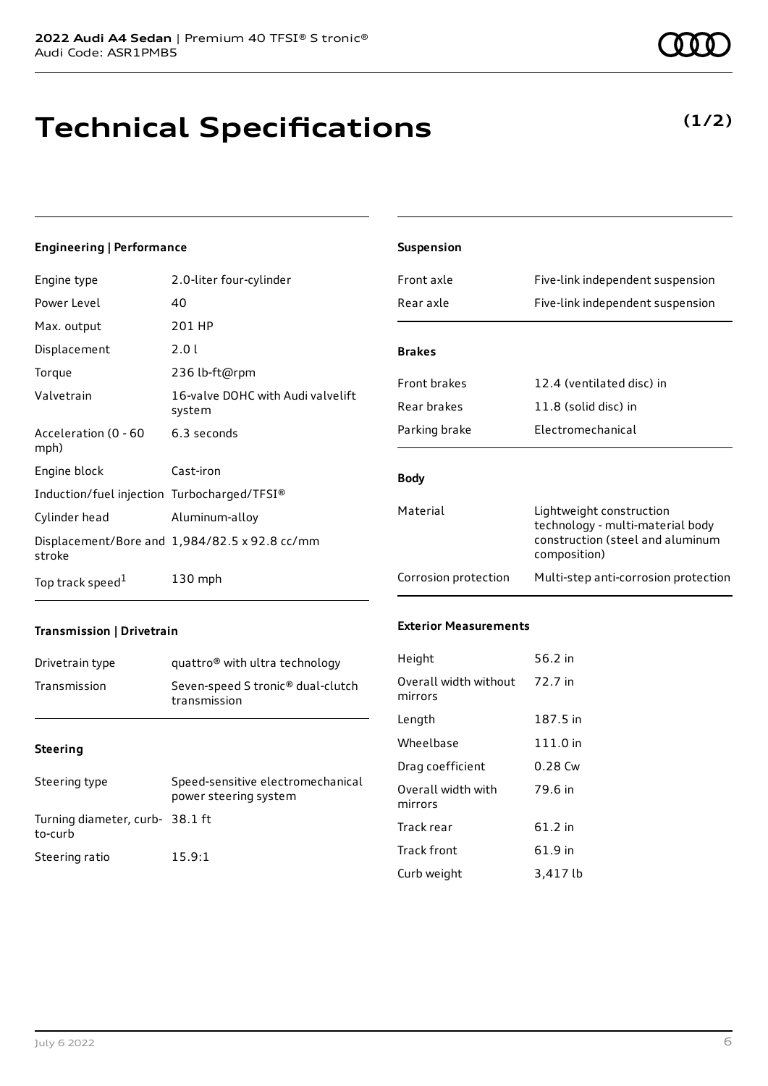# **Technical Specifications**

### **Engineering | Performance**

| Engine type                                 | 2.0-liter four-cylinder                       |
|---------------------------------------------|-----------------------------------------------|
| Power Level                                 | 40                                            |
| Max. output                                 | 201 HP                                        |
| Displacement                                | 2.0 l                                         |
| Torque                                      | 236 lb-ft@rpm                                 |
| Valvetrain                                  | 16-valve DOHC with Audi valvelift<br>system   |
| Acceleration (0 - 60<br>mph)                | 6.3 seconds                                   |
| Engine block                                | Cast-iron                                     |
| Induction/fuel injection Turbocharged/TFSI® |                                               |
| Cylinder head                               | Aluminum-alloy                                |
| stroke                                      | Displacement/Bore and 1,984/82.5 x 92.8 cc/mm |
| Top track speed <sup>1</sup>                | $130$ mph                                     |

| <b>Suspension</b>    |                                                                                                                  |
|----------------------|------------------------------------------------------------------------------------------------------------------|
| Front axle           | Five-link independent suspension                                                                                 |
| Rear axle            | Five-link independent suspension                                                                                 |
| <b>Brakes</b>        |                                                                                                                  |
| <b>Front brakes</b>  | 12.4 (ventilated disc) in                                                                                        |
| Rear brakes          | 11.8 (solid disc) in                                                                                             |
| Parking brake        | Electromechanical                                                                                                |
| <b>Body</b>          |                                                                                                                  |
| Material             | Lightweight construction<br>technology - multi-material body<br>construction (steel and aluminum<br>composition) |
| Corrosion protection | Multi-step anti-corrosion protection                                                                             |

### **Transmission | Drivetrain**

| Drivetrain type | quattro <sup>®</sup> with ultra technology                    |
|-----------------|---------------------------------------------------------------|
| Transmission    | Seven-speed S tronic <sup>®</sup> dual-clutch<br>transmission |

#### **Steering**

| Steering type                             | Speed-sensitive electromechanical<br>power steering system |
|-------------------------------------------|------------------------------------------------------------|
| Turning diameter, curb-38.1 ft<br>to-curb |                                                            |
| Steering ratio                            | 15.9:1                                                     |

#### **Exterior Measurements**

| Height                           | 56.2 in   |
|----------------------------------|-----------|
| Overall width without<br>mirrors | 72.7 in   |
| Length                           | 187.5 in  |
| Wheelbase                        | 111.0 in  |
| Drag coefficient                 | $0.28$ Cw |
| Overall width with<br>mirrors    | 79.6 in   |
| Track rear                       | 61.2 in   |
| <b>Track front</b>               | 61.9 in   |
| Curb weight                      | 3,417 lb  |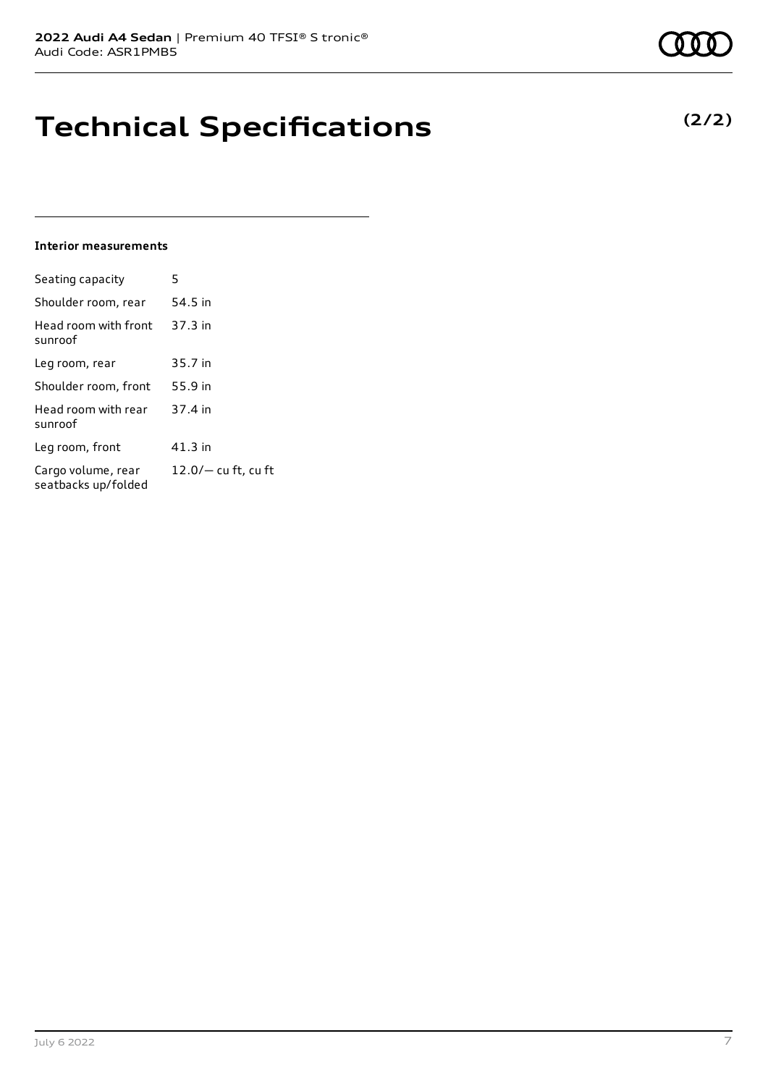# **Technical Specifications**

#### **Interior measurements**

| Seating capacity                          | 5                   |
|-------------------------------------------|---------------------|
| Shoulder room, rear                       | 54.5 in             |
| Head room with front<br>sunroof           | 37.3 in             |
| Leg room, rear                            | 35.7 in             |
| Shoulder room, front                      | 55.9 in             |
| Head room with rear<br>sunroof            | 37.4 in             |
| Leg room, front                           | 41.3 in             |
| Cargo volume, rear<br>seatbacks up/folded | 12.0/- cu ft, cu ft |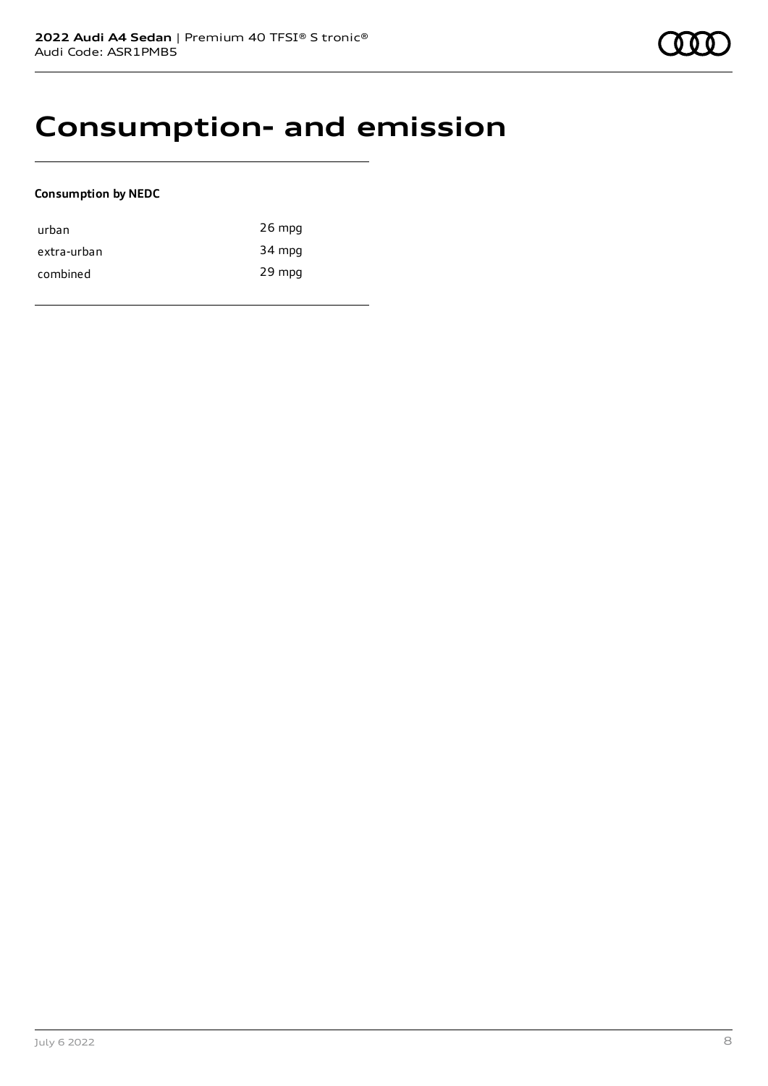# **Consumption- and emission**

### **Consumption by NEDC**

| urban       | $26$ mpg |
|-------------|----------|
| extra-urban | 34 mpg   |
| combined    | 29 mpg   |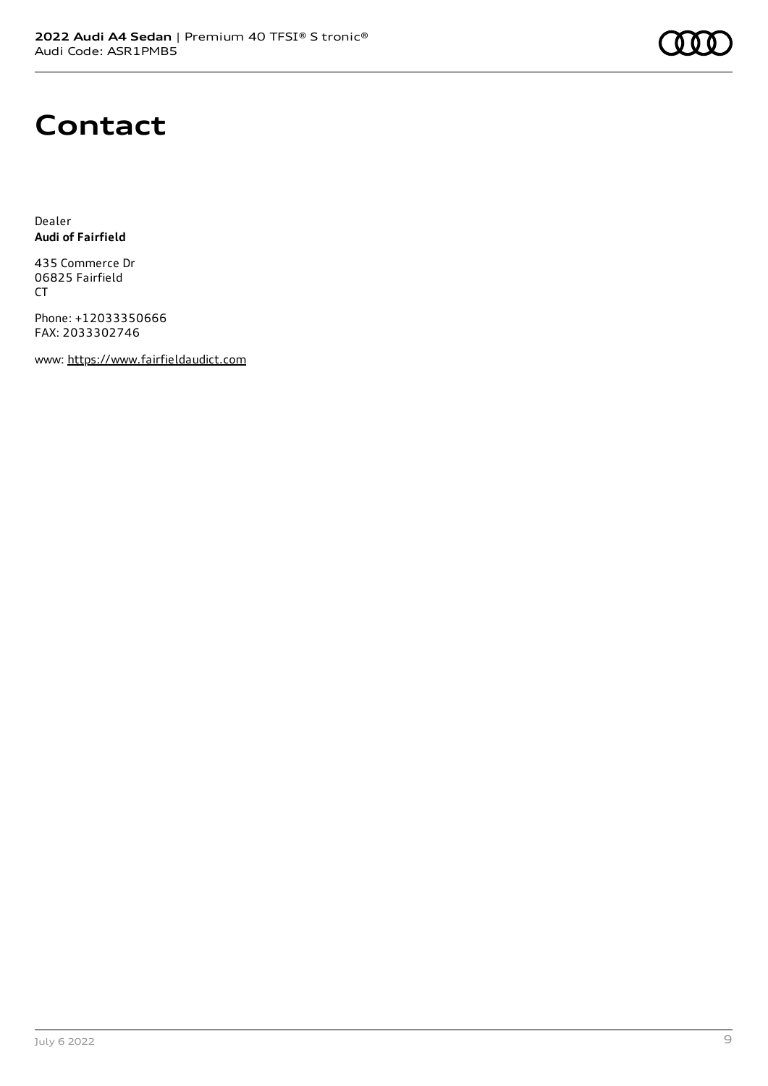

# **Contact**

Dealer **Audi of Fairfield**

435 Commerce Dr 06825 Fairfield CT

Phone: +12033350666 FAX: 2033302746

www: [https://www.fairfieldaudict.com](https://www.fairfieldaudict.com/)